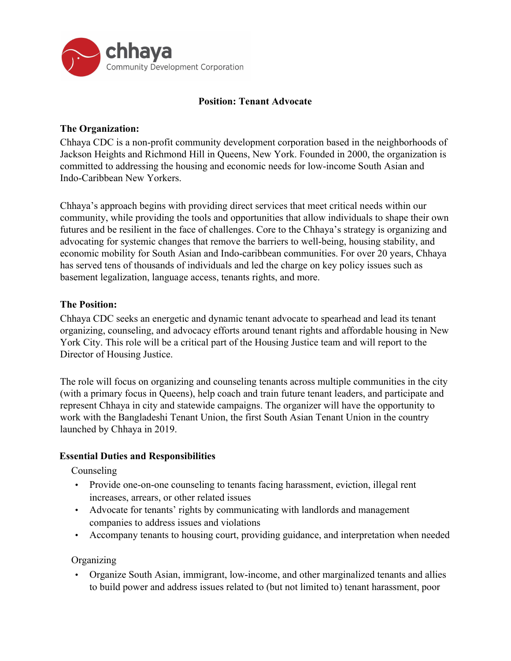

## **Position: Tenant Advocate**

## **The Organization:**

Chhaya CDC is a non-profit community development corporation based in the neighborhoods of Jackson Heights and Richmond Hill in Queens, New York. Founded in 2000, the organization is committed to addressing the housing and economic needs for low-income South Asian and Indo-Caribbean New Yorkers.

Chhaya's approach begins with providing direct services that meet critical needs within our community, while providing the tools and opportunities that allow individuals to shape their own futures and be resilient in the face of challenges. Core to the Chhaya's strategy is organizing and advocating for systemic changes that remove the barriers to well-being, housing stability, and economic mobility for South Asian and Indo-caribbean communities. For over 20 years, Chhaya has served tens of thousands of individuals and led the charge on key policy issues such as basement legalization, language access, tenants rights, and more.

## **The Position:**

Chhaya CDC seeks an energetic and dynamic tenant advocate to spearhead and lead its tenant organizing, counseling, and advocacy efforts around tenant rights and affordable housing in New York City. This role will be a critical part of the Housing Justice team and will report to the Director of Housing Justice.

The role will focus on organizing and counseling tenants across multiple communities in the city (with a primary focus in Queens), help coach and train future tenant leaders, and participate and represent Chhaya in city and statewide campaigns. The organizer will have the opportunity to work with the Bangladeshi Tenant Union, the first South Asian Tenant Union in the country launched by Chhaya in 2019.

#### **Essential Duties and Responsibilities**

Counseling

- Provide one-on-one counseling to tenants facing harassment, eviction, illegal rent increases, arrears, or other related issues
- Advocate for tenants' rights by communicating with landlords and management companies to address issues and violations
- Accompany tenants to housing court, providing guidance, and interpretation when needed

**Organizing** 

• Organize South Asian, immigrant, low-income, and other marginalized tenants and allies to build power and address issues related to (but not limited to) tenant harassment, poor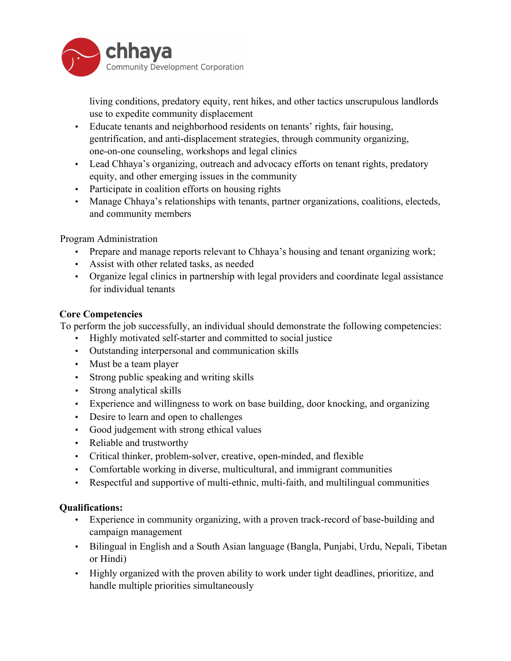

living conditions, predatory equity, rent hikes, and other tactics unscrupulous landlords use to expedite community displacement

- Educate tenants and neighborhood residents on tenants' rights, fair housing, gentrification, and anti-displacement strategies, through community organizing, one-on-one counseling, workshops and legal clinics
- Lead Chhaya's organizing, outreach and advocacy efforts on tenant rights, predatory equity, and other emerging issues in the community
- Participate in coalition efforts on housing rights
- Manage Chhaya's relationships with tenants, partner organizations, coalitions, electeds, and community members

Program Administration

- Prepare and manage reports relevant to Chhaya's housing and tenant organizing work;
- Assist with other related tasks, as needed
- Organize legal clinics in partnership with legal providers and coordinate legal assistance for individual tenants

# **Core Competencies**

To perform the job successfully, an individual should demonstrate the following competencies:

- Highly motivated self-starter and committed to social justice
- Outstanding interpersonal and communication skills
- Must be a team player
- Strong public speaking and writing skills
- Strong analytical skills
- Experience and willingness to work on base building, door knocking, and organizing
- Desire to learn and open to challenges
- Good judgement with strong ethical values
- Reliable and trustworthy
- Critical thinker, problem-solver, creative, open-minded, and flexible
- Comfortable working in diverse, multicultural, and immigrant communities
- Respectful and supportive of multi-ethnic, multi-faith, and multilingual communities

## **Qualifications:**

- Experience in community organizing, with a proven track-record of base-building and campaign management
- Bilingual in English and a South Asian language (Bangla, Punjabi, Urdu, Nepali, Tibetan or Hindi)
- Highly organized with the proven ability to work under tight deadlines, prioritize, and handle multiple priorities simultaneously